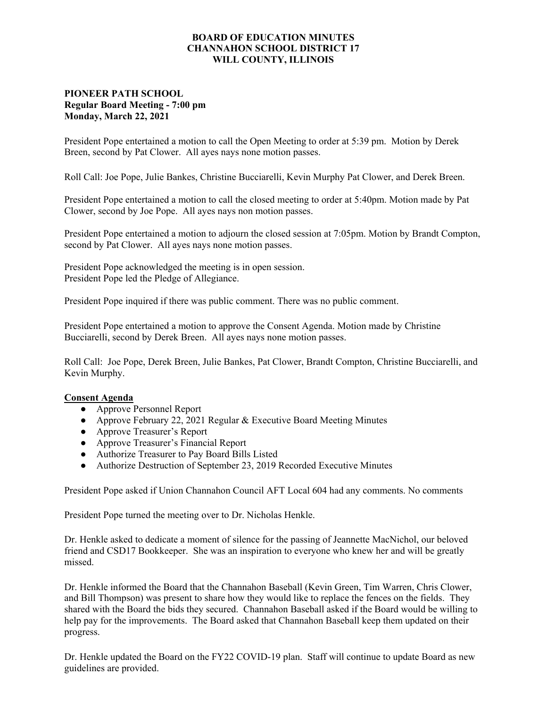## **BOARD OF EDUCATION MINUTES CHANNAHON SCHOOL DISTRICT 17 WILL COUNTY, ILLINOIS**

## **PIONEER PATH SCHOOL Regular Board Meeting - 7:00 pm Monday, March 22, 2021**

President Pope entertained a motion to call the Open Meeting to order at 5:39 pm. Motion by Derek Breen, second by Pat Clower. All ayes nays none motion passes.

Roll Call: Joe Pope, Julie Bankes, Christine Bucciarelli, Kevin Murphy Pat Clower, and Derek Breen.

President Pope entertained a motion to call the closed meeting to order at 5:40pm. Motion made by Pat Clower, second by Joe Pope. All ayes nays non motion passes.

President Pope entertained a motion to adjourn the closed session at 7:05pm. Motion by Brandt Compton, second by Pat Clower. All ayes nays none motion passes.

President Pope acknowledged the meeting is in open session. President Pope led the Pledge of Allegiance.

President Pope inquired if there was public comment. There was no public comment.

President Pope entertained a motion to approve the Consent Agenda. Motion made by Christine Bucciarelli, second by Derek Breen. All ayes nays none motion passes.

Roll Call: Joe Pope, Derek Breen, Julie Bankes, Pat Clower, Brandt Compton, Christine Bucciarelli, and Kevin Murphy.

## **Consent Agenda**

- **●** Approve Personnel Report
- **●** Approve February 22, 2021 Regular & Executive Board Meeting Minutes
- **●** Approve Treasurer's Report
- **●** Approve Treasurer's Financial Report
- **●** Authorize Treasurer to Pay Board Bills Listed
- **●** Authorize Destruction of September 23, 2019 Recorded Executive Minutes

President Pope asked if Union Channahon Council AFT Local 604 had any comments. No comments

President Pope turned the meeting over to Dr. Nicholas Henkle.

Dr. Henkle asked to dedicate a moment of silence for the passing of Jeannette MacNichol, our beloved friend and CSD17 Bookkeeper. She was an inspiration to everyone who knew her and will be greatly missed.

Dr. Henkle informed the Board that the Channahon Baseball (Kevin Green, Tim Warren, Chris Clower, and Bill Thompson) was present to share how they would like to replace the fences on the fields. They shared with the Board the bids they secured. Channahon Baseball asked if the Board would be willing to help pay for the improvements. The Board asked that Channahon Baseball keep them updated on their progress.

Dr. Henkle updated the Board on the FY22 COVID-19 plan. Staff will continue to update Board as new guidelines are provided.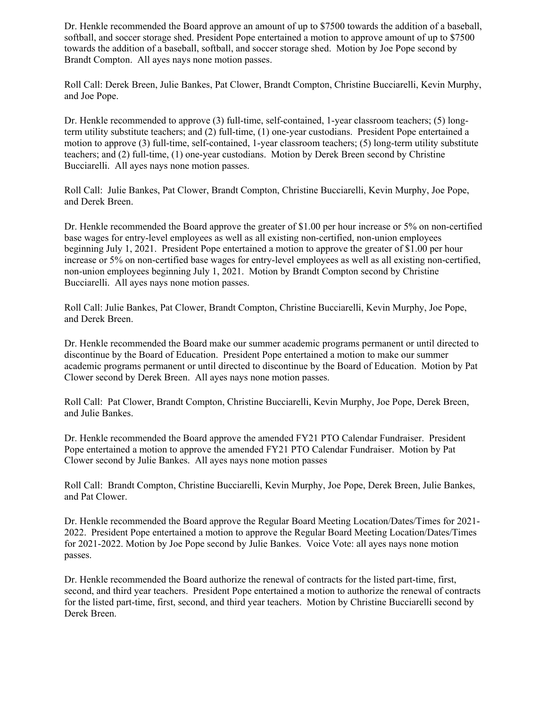Dr. Henkle recommended the Board approve an amount of up to \$7500 towards the addition of a baseball, softball, and soccer storage shed. President Pope entertained a motion to approve amount of up to \$7500 towards the addition of a baseball, softball, and soccer storage shed. Motion by Joe Pope second by Brandt Compton. All ayes nays none motion passes.

Roll Call: Derek Breen, Julie Bankes, Pat Clower, Brandt Compton, Christine Bucciarelli, Kevin Murphy, and Joe Pope.

Dr. Henkle recommended to approve (3) full-time, self-contained, 1-year classroom teachers; (5) longterm utility substitute teachers; and (2) full-time, (1) one-year custodians. President Pope entertained a motion to approve (3) full-time, self-contained, 1-year classroom teachers; (5) long-term utility substitute teachers; and (2) full-time, (1) one-year custodians. Motion by Derek Breen second by Christine Bucciarelli. All ayes nays none motion passes.

Roll Call: Julie Bankes, Pat Clower, Brandt Compton, Christine Bucciarelli, Kevin Murphy, Joe Pope, and Derek Breen.

Dr. Henkle recommended the Board approve the greater of \$1.00 per hour increase or 5% on non-certified base wages for entry-level employees as well as all existing non-certified, non-union employees beginning July 1, 2021. President Pope entertained a motion to approve the greater of \$1.00 per hour increase or 5% on non-certified base wages for entry-level employees as well as all existing non-certified, non-union employees beginning July 1, 2021. Motion by Brandt Compton second by Christine Bucciarelli. All ayes nays none motion passes.

Roll Call: Julie Bankes, Pat Clower, Brandt Compton, Christine Bucciarelli, Kevin Murphy, Joe Pope, and Derek Breen.

Dr. Henkle recommended the Board make our summer academic programs permanent or until directed to discontinue by the Board of Education. President Pope entertained a motion to make our summer academic programs permanent or until directed to discontinue by the Board of Education. Motion by Pat Clower second by Derek Breen. All ayes nays none motion passes.

Roll Call: Pat Clower, Brandt Compton, Christine Bucciarelli, Kevin Murphy, Joe Pope, Derek Breen, and Julie Bankes.

Dr. Henkle recommended the Board approve the amended FY21 PTO Calendar Fundraiser. President Pope entertained a motion to approve the amended FY21 PTO Calendar Fundraiser. Motion by Pat Clower second by Julie Bankes. All ayes nays none motion passes

Roll Call: Brandt Compton, Christine Bucciarelli, Kevin Murphy, Joe Pope, Derek Breen, Julie Bankes, and Pat Clower.

Dr. Henkle recommended the Board approve the Regular Board Meeting Location/Dates/Times for 2021- 2022. President Pope entertained a motion to approve the Regular Board Meeting Location/Dates/Times for 2021-2022. Motion by Joe Pope second by Julie Bankes. Voice Vote: all ayes nays none motion passes.

Dr. Henkle recommended the Board authorize the renewal of contracts for the listed part-time, first, second, and third year teachers. President Pope entertained a motion to authorize the renewal of contracts for the listed part-time, first, second, and third year teachers. Motion by Christine Bucciarelli second by Derek Breen.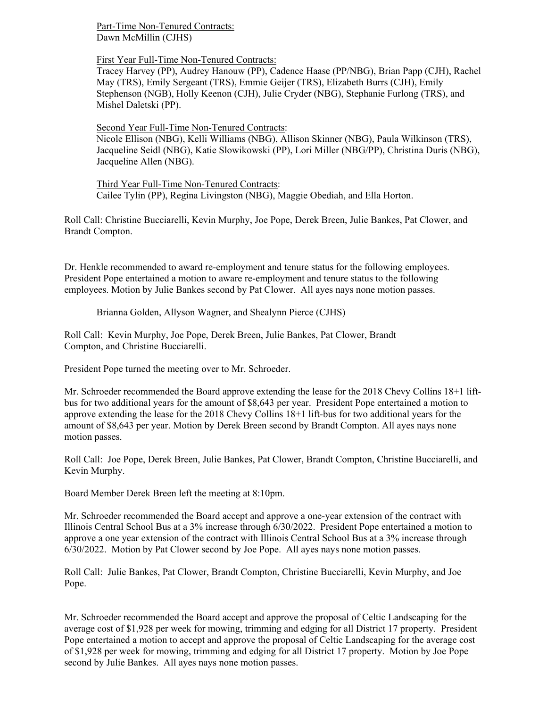Part-Time Non-Tenured Contracts: Dawn McMillin (CJHS)

First Year Full-Time Non-Tenured Contracts:

Tracey Harvey (PP), Audrey Hanouw (PP), Cadence Haase (PP/NBG), Brian Papp (CJH), Rachel May (TRS), Emily Sergeant (TRS), Emmie Geijer (TRS), Elizabeth Burrs (CJH), Emily Stephenson (NGB), Holly Keenon (CJH), Julie Cryder (NBG), Stephanie Furlong (TRS), and Mishel Daletski (PP).

Second Year Full-Time Non-Tenured Contracts: Nicole Ellison (NBG), Kelli Williams (NBG), Allison Skinner (NBG), Paula Wilkinson (TRS), Jacqueline Seidl (NBG), Katie Slowikowski (PP), Lori Miller (NBG/PP), Christina Duris (NBG), Jacqueline Allen (NBG).

Third Year Full-Time Non-Tenured Contracts: Cailee Tylin (PP), Regina Livingston (NBG), Maggie Obediah, and Ella Horton.

Roll Call: Christine Bucciarelli, Kevin Murphy, Joe Pope, Derek Breen, Julie Bankes, Pat Clower, and Brandt Compton.

Dr. Henkle recommended to award re-employment and tenure status for the following employees. President Pope entertained a motion to aware re-employment and tenure status to the following employees. Motion by Julie Bankes second by Pat Clower. All ayes nays none motion passes.

Brianna Golden, Allyson Wagner, and Shealynn Pierce (CJHS)

Roll Call: Kevin Murphy, Joe Pope, Derek Breen, Julie Bankes, Pat Clower, Brandt Compton, and Christine Bucciarelli.

President Pope turned the meeting over to Mr. Schroeder.

Mr. Schroeder recommended the Board approve extending the lease for the 2018 Chevy Collins 18+1 liftbus for two additional years for the amount of \$8,643 per year. President Pope entertained a motion to approve extending the lease for the 2018 Chevy Collins 18+1 lift-bus for two additional years for the amount of \$8,643 per year. Motion by Derek Breen second by Brandt Compton. All ayes nays none motion passes.

Roll Call: Joe Pope, Derek Breen, Julie Bankes, Pat Clower, Brandt Compton, Christine Bucciarelli, and Kevin Murphy.

Board Member Derek Breen left the meeting at 8:10pm.

Mr. Schroeder recommended the Board accept and approve a one-year extension of the contract with Illinois Central School Bus at a 3% increase through 6/30/2022. President Pope entertained a motion to approve a one year extension of the contract with Illinois Central School Bus at a 3% increase through 6/30/2022. Motion by Pat Clower second by Joe Pope. All ayes nays none motion passes.

Roll Call: Julie Bankes, Pat Clower, Brandt Compton, Christine Bucciarelli, Kevin Murphy, and Joe Pope.

Mr. Schroeder recommended the Board accept and approve the proposal of Celtic Landscaping for the average cost of \$1,928 per week for mowing, trimming and edging for all District 17 property. President Pope entertained a motion to accept and approve the proposal of Celtic Landscaping for the average cost of \$1,928 per week for mowing, trimming and edging for all District 17 property. Motion by Joe Pope second by Julie Bankes. All ayes nays none motion passes.